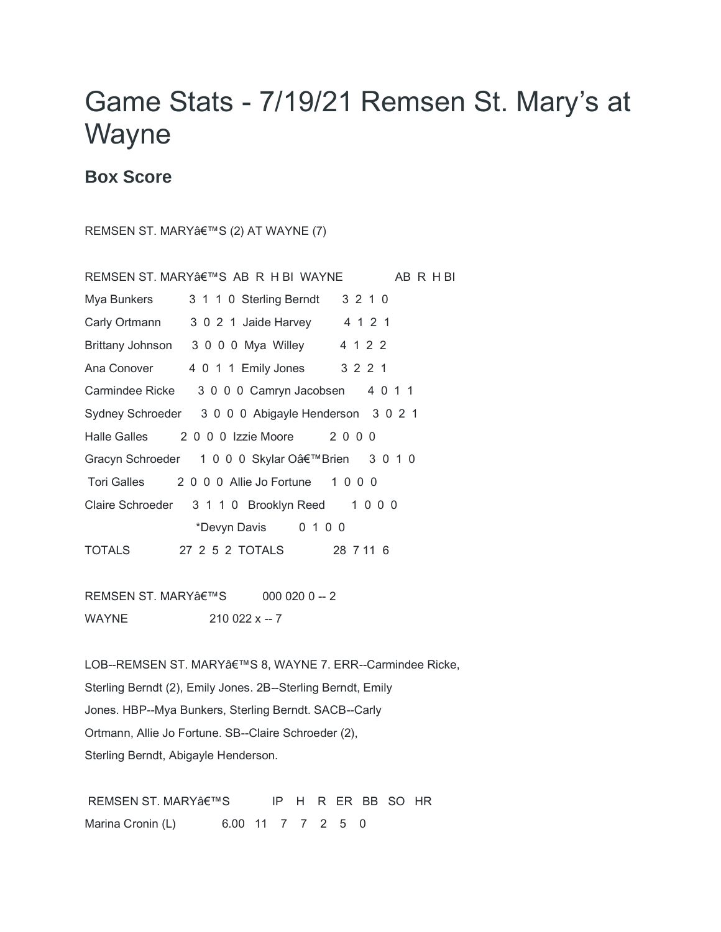## Game Stats - 7/19/21 Remsen St. Mary's at Wayne

## **Box Score**

REMSEN ST. MARY'S (2) AT WAYNE (7)

|                                                     | REMSEN ST. MARY'S AB R H BI WAYNE               | AB R H BI |
|-----------------------------------------------------|-------------------------------------------------|-----------|
| Mya Bunkers                                         | 3 1 1 0 Sterling Berndt                         | 3 2 1 0   |
| Carly Ortmann                                       | 3 0 2 1 Jaide Harvey 4 1 2 1                    |           |
|                                                     | Brittany Johnson 3 0 0 0 Mya Willey 4 1 2 2     |           |
| Ana Conover                                         | 4 0 1 1 Emily Jones 3 2 2 1                     |           |
|                                                     | Carmindee Ricke 3 0 0 0 Camryn Jacobsen 4 0 1 1 |           |
| Sydney Schroeder 3 0 0 0 Abigayle Henderson 3 0 2 1 |                                                 |           |
|                                                     | Halle Galles 2000 Izzie Moore 2000              |           |
| Gracyn Schroeder 1 0 0 0 Skylar O'Brien 3 0 1 0     |                                                 |           |
|                                                     | Tori Galles 2000 Allie Jo Fortune 1000          |           |
|                                                     | Claire Schroeder 3 1 1 0 Brooklyn Reed 1 0 0 0  |           |
|                                                     | *Devyn Davis 0 1 0 0                            |           |
| <b>TOTALS</b>                                       | 27 2 5 2 TOTALS 28 7 11 6                       |           |

REMSEN ST. MARY'S 000 020 0 -- 2 WAYNE 210 022 x -- 7

LOB--REMSEN ST. MARY'S 8, WAYNE 7. ERR--Carmindee Ricke, Sterling Berndt (2), Emily Jones. 2B--Sterling Berndt, Emily Jones. HBP--Mya Bunkers, Sterling Berndt. SACB--Carly Ortmann, Allie Jo Fortune. SB--Claire Schroeder (2), Sterling Berndt, Abigayle Henderson.

REMSEN ST. MARY'S IP H R ER BB SO HR Marina Cronin (L) 6.00 11 7 7 2 5 0